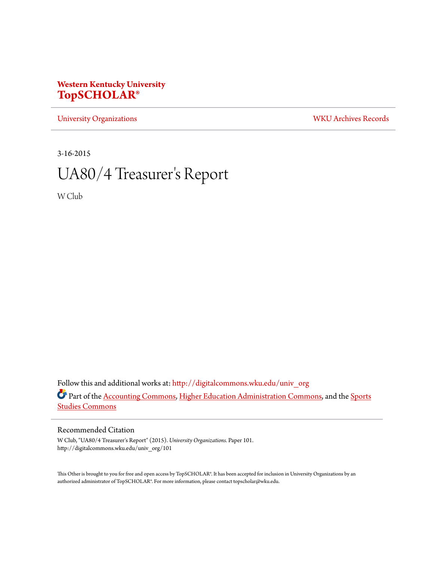### **Western Kentucky University [TopSCHOLAR®](http://digitalcommons.wku.edu?utm_source=digitalcommons.wku.edu%2Funiv_org%2F101&utm_medium=PDF&utm_campaign=PDFCoverPages)**

[University Organizations](http://digitalcommons.wku.edu/univ_org?utm_source=digitalcommons.wku.edu%2Funiv_org%2F101&utm_medium=PDF&utm_campaign=PDFCoverPages) [WKU Archives Records](http://digitalcommons.wku.edu/dlsc_ua_records?utm_source=digitalcommons.wku.edu%2Funiv_org%2F101&utm_medium=PDF&utm_campaign=PDFCoverPages)

3-16-2015

# UA80/4 Treasurer 's Report

W Club

Follow this and additional works at: [http://digitalcommons.wku.edu/univ\\_org](http://digitalcommons.wku.edu/univ_org?utm_source=digitalcommons.wku.edu%2Funiv_org%2F101&utm_medium=PDF&utm_campaign=PDFCoverPages) Part of the [Accounting Commons](http://network.bepress.com/hgg/discipline/625?utm_source=digitalcommons.wku.edu%2Funiv_org%2F101&utm_medium=PDF&utm_campaign=PDFCoverPages), [Higher Education Administration Commons](http://network.bepress.com/hgg/discipline/791?utm_source=digitalcommons.wku.edu%2Funiv_org%2F101&utm_medium=PDF&utm_campaign=PDFCoverPages), and the [Sports](http://network.bepress.com/hgg/discipline/1198?utm_source=digitalcommons.wku.edu%2Funiv_org%2F101&utm_medium=PDF&utm_campaign=PDFCoverPages) [Studies Commons](http://network.bepress.com/hgg/discipline/1198?utm_source=digitalcommons.wku.edu%2Funiv_org%2F101&utm_medium=PDF&utm_campaign=PDFCoverPages)

### Recommended Citation

W Club, "UA80/4 Treasurer's Report" (2015). *University Organizations.* Paper 101. http://digitalcommons.wku.edu/univ\_org/101

This Other is brought to you for free and open access by TopSCHOLAR®. It has been accepted for inclusion in University Organizations by an authorized administrator of TopSCHOLAR®. For more information, please contact topscholar@wku.edu.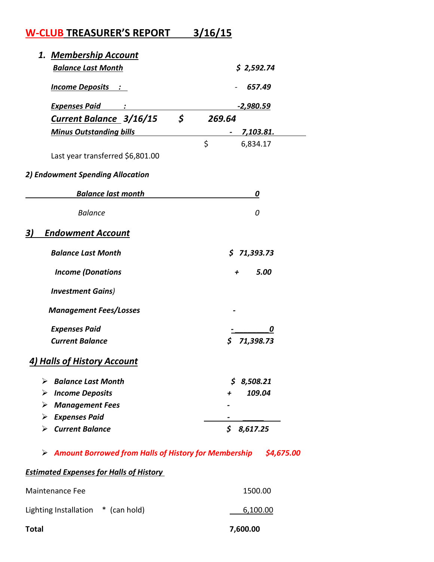## W-CLUB TREASURER'S REPORT 3/16/15

| 1. Membership Account                |                            |  |
|--------------------------------------|----------------------------|--|
| <b>Balance Last Month</b>            | \$2,592.74                 |  |
| <u> Income Deposits : </u>           | 657.49<br><u>-2,980.59</u> |  |
| <b>Expenses Paid</b>                 |                            |  |
| \$<br><b>Current Balance 3/16/15</b> | 269.64                     |  |
| <b>Minus Outstanding bills</b>       | <u>7,103.81.</u>           |  |
|                                      | \$<br>6,834.17             |  |
| Last year transferred \$6,801.00     |                            |  |
| 2) Endowment Spending Allocation     |                            |  |
| <b>Balance last month</b>            | 0                          |  |
| <b>Balance</b>                       | 0                          |  |
| 3)<br><b>Endowment Account</b>       |                            |  |
| <b>Balance Last Month</b>            | \$71,393.73                |  |
| <b>Income (Donations</b>             | 5.00<br>+                  |  |
| <b>Investment Gains)</b>             |                            |  |
| <b>Management Fees/Losses</b>        |                            |  |
| <b>Expenses Paid</b>                 | 0                          |  |
| <b>Current Balance</b>               | 71,398.73                  |  |
| 4) Halls of History Account          |                            |  |
| <b>Balance Last Month</b>            | S.<br>8,508.21             |  |
| $\triangleright$ Income Deposits     | 109.04<br>+                |  |
| <b>Management Fees</b><br>➤          |                            |  |
| $\triangleright$ Expenses Paid       |                            |  |
| $\triangleright$ Current Balance     | \$<br>8,617.25             |  |

 $\triangleright$  Amount Borrowed from Halls of History for Membership  $\triangleright$  \$4,675.00

### **Estimated Expenses for Halls of History**

| Total                                | 7,600.00 |
|--------------------------------------|----------|
| Lighting Installation $*$ (can hold) | 6,100.00 |
| Maintenance Fee                      | 1500.00  |